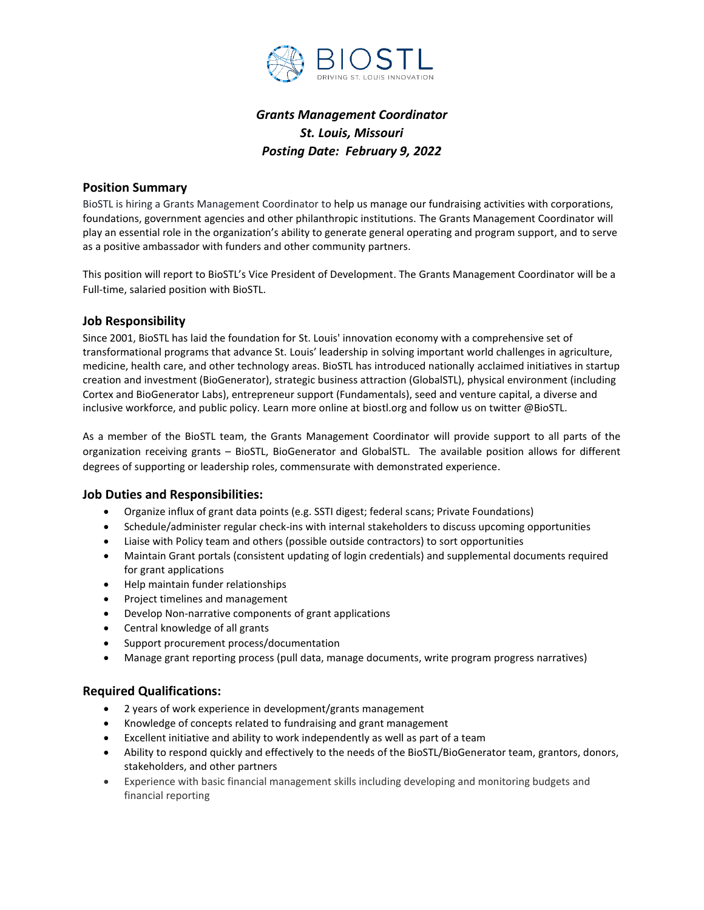

# *Grants Management Coordinator St. Louis, Missouri Posting Date: February 9, 2022*

#### **Position Summary**

BioSTL is hiring a Grants Management Coordinator to help us manage our fundraising activities with corporations, foundations, government agencies and other philanthropic institutions. The Grants Management Coordinator will play an essential role in the organization's ability to generate general operating and program support, and to serve as a positive ambassador with funders and other community partners.

This position will report to BioSTL's Vice President of Development. The Grants Management Coordinator will be a Full-time, salaried position with BioSTL.

## **Job Responsibility**

Since 2001, BioSTL has laid the foundation for St. Louis' innovation economy with a comprehensive set of transformational programs that advance St. Louis' leadership in solving important world challenges in agriculture, medicine, health care, and other technology areas. BioSTL has introduced nationally acclaimed initiatives in startup creation and investment (BioGenerator), strategic business attraction (GlobalSTL), physical environment (including Cortex and BioGenerator Labs), entrepreneur support (Fundamentals), seed and venture capital, a diverse and inclusive workforce, and public policy. Learn more online at biostl.org and follow us on twitter @BioSTL.

As a member of the BioSTL team, the Grants Management Coordinator will provide support to all parts of the organization receiving grants – BioSTL, BioGenerator and GlobalSTL. The available position allows for different degrees of supporting or leadership roles, commensurate with demonstrated experience.

#### **Job Duties and Responsibilities:**

- Organize influx of grant data points (e.g. SSTI digest; federal scans; Private Foundations)
- Schedule/administer regular check-ins with internal stakeholders to discuss upcoming opportunities
- Liaise with Policy team and others (possible outside contractors) to sort opportunities
- Maintain Grant portals (consistent updating of login credentials) and supplemental documents required for grant applications
- Help maintain funder relationships
- Project timelines and management
- Develop Non-narrative components of grant applications
- Central knowledge of all grants
- Support procurement process/documentation
- Manage grant reporting process (pull data, manage documents, write program progress narratives)

## **Required Qualifications:**

- 2 years of work experience in development/grants management
- Knowledge of concepts related to fundraising and grant management
- Excellent initiative and ability to work independently as well as part of a team
- Ability to respond quickly and effectively to the needs of the BioSTL/BioGenerator team, grantors, donors, stakeholders, and other partners
- Experience with basic financial management skills including developing and monitoring budgets and financial reporting